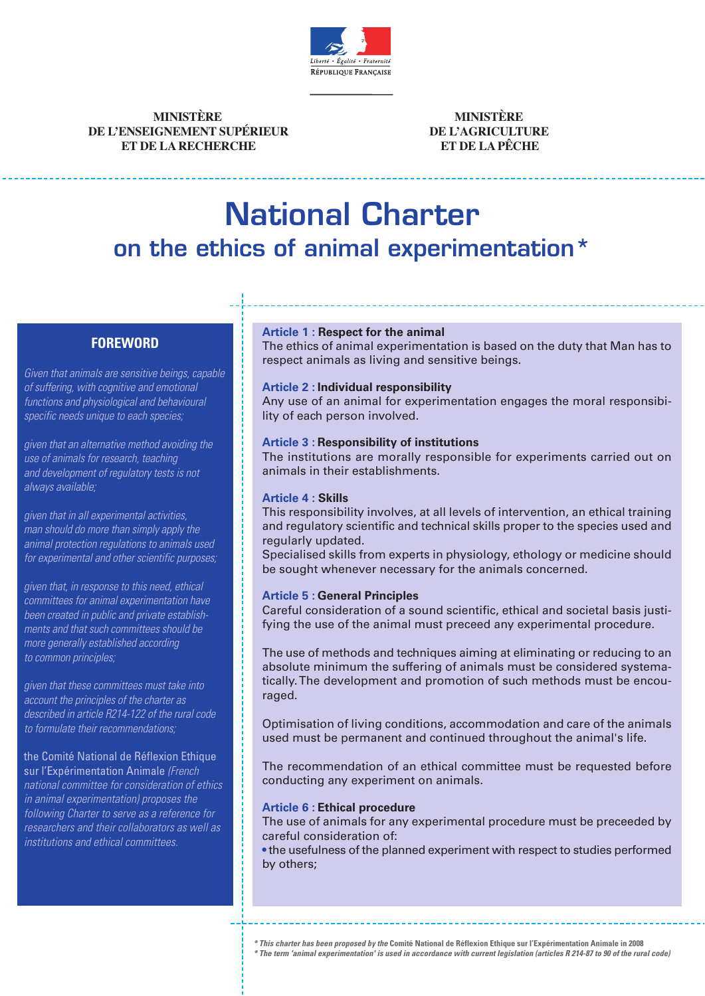

**MINISTÈRE DE L'ENSEIGNEMENT SUPÉRIEUR ET DE LA RECHERCHE**

**MINISTÈRE DE L'AGRICULTURE ET DE LA PÊCHE**

# National Charter on the ethics of animal experimentation\*

## **FOREWORD**

Given that animals are sensitive beings, capable of suffering, with cognitive and emotional functions and physiological and behavioural specific needs unique to each species;

given that an alternative method avoiding the use of animals for research, teaching and development of regulatory tests is not always available;

given that in all experimental activities, man should do more than simply apply the animal protection regulations to animals used for experimental and other scientific purposes;

given that, in response to this need, ethical committees for animal experimentation have been created in public and private establishments and that such committees should be more generally established according to common principles;

given that these committees must take into account the principles of the charter as described in article R214-122 of the rural code to formulate their recommendations;

#### the Comité National de Réflexion Ethique sur l'Expérimentation Animale (French national committee for consideration of ethics in animal experimentation) proposes the following Charter to serve as a reference for researchers and their collaborators as well as institutions and ethical committees.

## **Article 1 : Respect for the animal**

The ethics of animal experimentation is based on the duty that Man has to respect animals as living and sensitive beings.

## **Article 2 : Individual responsibility**

Any use of an animal for experimentation engages the moral responsibility of each person involved.

## **Article 3 : Responsibility of institutions**

The institutions are morally responsible for experiments carried out on animals in their establishments.

#### **Article 4 : Skills**

This responsibility involves, at all levels of intervention, an ethical training and regulatory scientific and technical skills proper to the species used and regularly updated.

Specialised skills from experts in physiology, ethology or medicine should be sought whenever necessary for the animals concerned.

## **Article 5 : General Principles**

Careful consideration of a sound scientific, ethical and societal basis justifying the use of the animal must preceed any experimental procedure.

The use of methods and techniques aiming at eliminating or reducing to an absolute minimum the suffering of animals must be considered systematically.The development and promotion of such methods must be encouraged.

Optimisation of living conditions, accommodation and care of the animals used must be permanent and continued throughout the animal's life.

The recommendation of an ethical committee must be requested before conducting any experiment on animals.

#### **Article 6 : Ethical procedure**

The use of animals for any experimental procedure must be preceeded by careful consideration of:

• the usefulness of the planned experiment with respect to studies performed by others;

\* This charter has been proposed by the Comité National de Réflexion Ethique sur l'Expérimentation Animale in 2008

\* The term 'animal experimentation' is used in accordance with current legislation (articles R 214-87 to 90 of the rural code)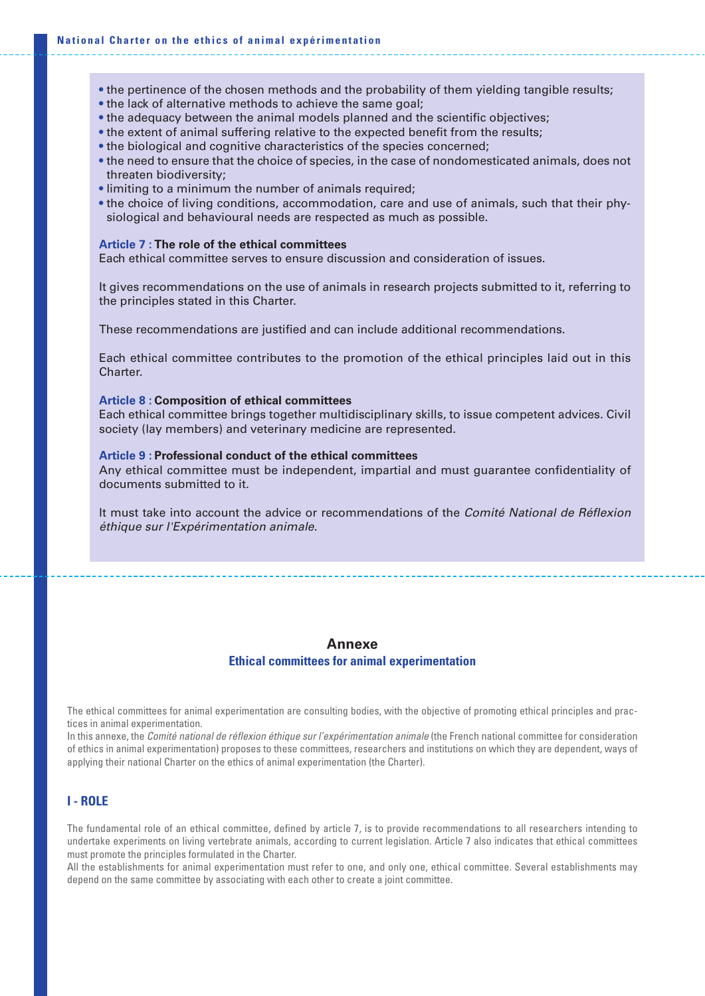- the pertinence of the chosen methods and the probability of them yielding tangible results;
- the lack of alternative methods to achieve the same goal;
- the adequacy between the animal models planned and the scientific objectives;
- the extent of animal suffering relative to the expected benefit from the results;
- the biological and cognitive characteristics of the species concerned;
- the need to ensure that the choice of species, in the case of nondomesticated animals, does not threaten biodiversity;
- limiting to a minimum the number of animals required;
- the choice of living conditions, accommodation, care and use of animals, such that their physiological and behavioural needs are respected as much as possible.

#### **Article 7 : The role of the ethical committees**

Each ethical committee serves to ensure discussion and consideration of issues.

It gives recommendations on the use of animals in research projects submitted to it, referring to the principles stated in this Charter.

These recommendations are justified and can include additional recommendations.

Each ethical committee contributes to the promotion of the ethical principles laid out in this Charter.

#### **Article 8 : Composition of ethical committees**

Each ethical committee brings together multidisciplinary skills, to issue competent advices. Civil society (lay members) and veterinary medicine are represented.

#### **Article 9 : Professional conduct of the ethical committees**

Any ethical committee must be independent, impartial and must guarantee confidentiality of documents submitted to it.

It must take into account the advice or recommendations of the Comité National de Réflexion éthique sur l'Expérimentation animale.

## **Annexe**

#### **Ethical committees for animal experimentation**

The ethical committees for animal experimentation are consulting bodies, with the objective of promoting ethical principles and practices in animal experimentation.

In this annexe, the *Comité national de réflexion éthique sur l'expérimentation animale* (the French national committee for consideration of ethics in animal experimentation) proposes to these committees, researchers and institutions on which they are dependent, ways of applying their national Charter on the ethics of animal experimentation (the Charter).

## **I - ROLE**

The fundamental role of an ethical committee, defined by article 7, is to provide recommendations to all researchers intending to undertake experiments on living vertebrate animals, according to current legislation. Article 7 also indicates that ethical committees must promote the principles formulated in the Charter.

All the establishments for animal experimentation must refer to one, and only one, ethical committee. Several establishments may depend on the same committee by associating with each other to create a joint committee.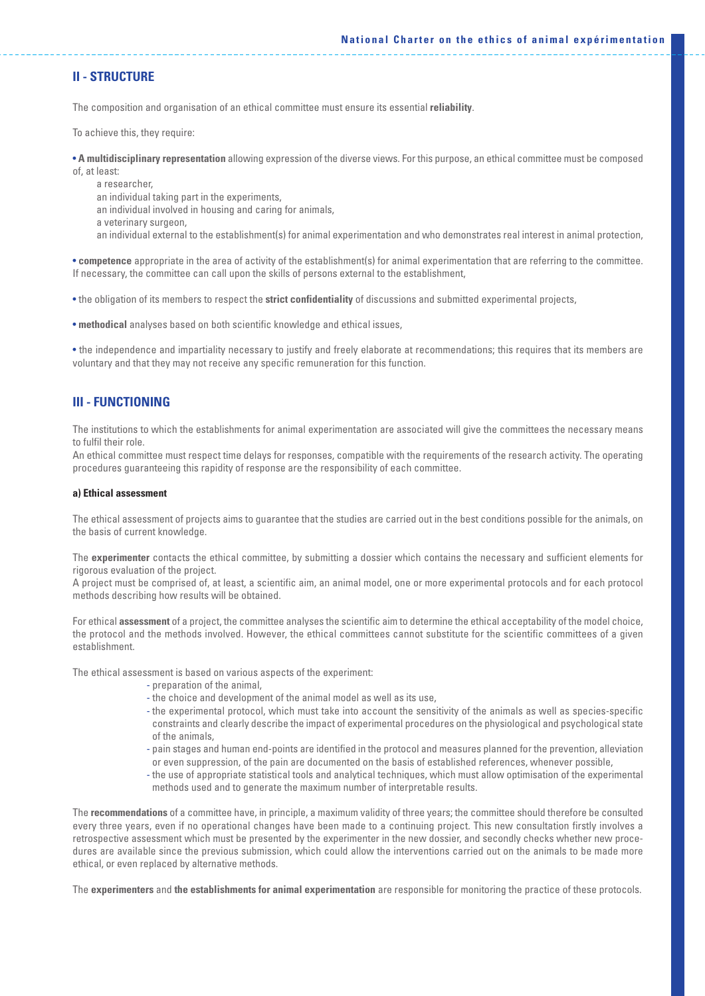#### **II - STRUCTURE**

The composition and organisation of an ethical committee must ensure its essential **reliability**.

To achieve this, they require:

• **A multidisciplinary representation** allowing expression of the diverse views. For this purpose, an ethical committee must be composed of, at least:

a researcher,

an individual taking part in the experiments,

an individual involved in housing and caring for animals,

a veterinary surgeon,

an individual external to the establishment(s) for animal experimentation and who demonstrates real interest in animal protection,

• **competence** appropriate in the area of activity of the establishment(s) for animal experimentation that are referring to the committee. If necessary, the committee can call upon the skills of persons external to the establishment,

• the obligation of its members to respect the **strict confidentiality** of discussions and submitted experimental projects,

• **methodical** analyses based on both scientific knowledge and ethical issues,

• the independence and impartiality necessary to justify and freely elaborate at recommendations; this requires that its members are voluntary and that they may not receive any specific remuneration for this function.

## **III - FUNCTIONING**

The institutions to which the establishments for animal experimentation are associated will give the committees the necessary means to fulfil their role.

An ethical committee must respect time delays for responses, compatible with the requirements of the research activity. The operating procedures guaranteeing this rapidity of response are the responsibility of each committee.

#### **a) Ethical assessment**

The ethical assessment of projects aims to guarantee that the studies are carried out in the best conditions possible for the animals, on the basis of current knowledge.

The **experimenter** contacts the ethical committee, by submitting a dossier which contains the necessary and sufficient elements for rigorous evaluation of the project.

A project must be comprised of, at least, a scientific aim, an animal model, one or more experimental protocols and for each protocol methods describing how results will be obtained.

For ethical **assessment** of a project, the committee analyses the scientific aim to determine the ethical acceptability of the model choice, the protocol and the methods involved. However, the ethical committees cannot substitute for the scientific committees of a given establishment.

The ethical assessment is based on various aspects of the experiment:

- preparation of the animal,
- the choice and development of the animal model as well as its use,
- the experimental protocol, which must take into account the sensitivity of the animals as well as species-specific constraints and clearly describe the impact of experimental procedures on the physiological and psychological state of the animals,
- pain stages and human end-points are identified in the protocol and measures planned for the prevention, alleviation or even suppression, of the pain are documented on the basis of established references, whenever possible,
- the use of appropriate statistical tools and analytical techniques, which must allow optimisation of the experimental methods used and to generate the maximum number of interpretable results.

The **recommendations** of a committee have, in principle, a maximum validity of three years; the committee should therefore be consulted every three years, even if no operational changes have been made to a continuing project. This new consultation firstly involves a retrospective assessment which must be presented by the experimenter in the new dossier, and secondly checks whether new procedures are available since the previous submission, which could allow the interventions carried out on the animals to be made more ethical, or even replaced by alternative methods.

The **experimenters** and **the establishments for animal experimentation** are responsible for monitoring the practice of these protocols.